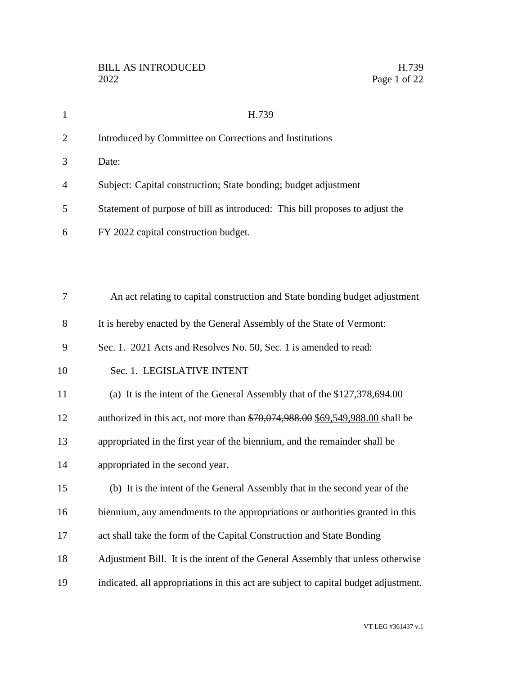| $\mathbf{1}$   | H.739                                                                               |
|----------------|-------------------------------------------------------------------------------------|
| $\overline{2}$ | Introduced by Committee on Corrections and Institutions                             |
| 3              | Date:                                                                               |
| 4              | Subject: Capital construction; State bonding; budget adjustment                     |
| 5              | Statement of purpose of bill as introduced: This bill proposes to adjust the        |
| 6              | FY 2022 capital construction budget.                                                |
|                |                                                                                     |
|                |                                                                                     |
| 7              | An act relating to capital construction and State bonding budget adjustment         |
| 8              | It is hereby enacted by the General Assembly of the State of Vermont:               |
| 9              | Sec. 1. 2021 Acts and Resolves No. 50, Sec. 1 is amended to read:                   |
| 10             | Sec. 1. LEGISLATIVE INTENT                                                          |
| 11             | (a) It is the intent of the General Assembly that of the \$127,378,694.00           |
| 12             | authorized in this act, not more than \$70,074,988.00 \$69,549,988.00 shall be      |
| 13             | appropriated in the first year of the biennium, and the remainder shall be          |
| 14             | appropriated in the second year.                                                    |
| 15             | (b) It is the intent of the General Assembly that in the second year of the         |
| 16             | biennium, any amendments to the appropriations or authorities granted in this       |
| 17             | act shall take the form of the Capital Construction and State Bonding               |
| 18             | Adjustment Bill. It is the intent of the General Assembly that unless otherwise     |
| 19             | indicated, all appropriations in this act are subject to capital budget adjustment. |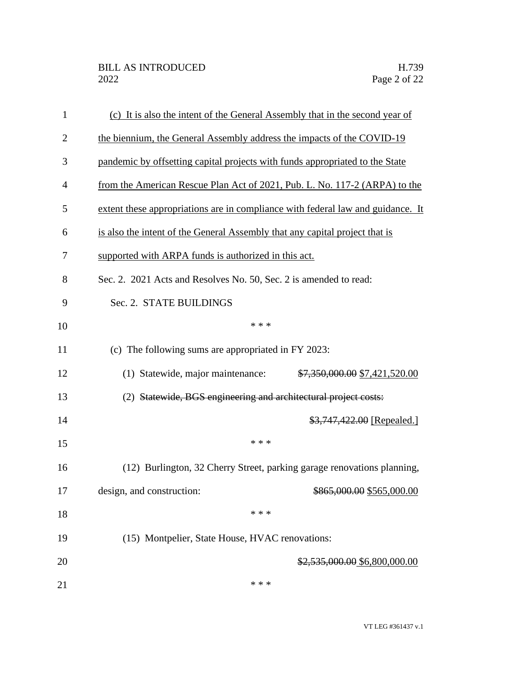| 1            | (c) It is also the intent of the General Assembly that in the second year of    |
|--------------|---------------------------------------------------------------------------------|
| $\mathbf{2}$ | the biennium, the General Assembly address the impacts of the COVID-19          |
| 3            | pandemic by offsetting capital projects with funds appropriated to the State    |
| 4            | from the American Rescue Plan Act of 2021, Pub. L. No. 117-2 (ARPA) to the      |
| 5            | extent these appropriations are in compliance with federal law and guidance. It |
| 6            | is also the intent of the General Assembly that any capital project that is     |
| 7            | supported with ARPA funds is authorized in this act.                            |
| 8            | Sec. 2. 2021 Acts and Resolves No. 50, Sec. 2 is amended to read:               |
| 9            | Sec. 2. STATE BUILDINGS                                                         |
| 10           | * * *                                                                           |
| 11           | (c) The following sums are appropriated in FY 2023:                             |
| 12           | (1) Statewide, major maintenance: \$7,350,000.00 \$7,421,520.00                 |
| 13           | (2) Statewide, BGS engineering and architectural project costs:                 |
| 14           | \$3,747,422.00 [Repealed.]                                                      |
| 15           | * * *                                                                           |
| 16           | (12) Burlington, 32 Cherry Street, parking garage renovations planning,         |
| 17           | design, and construction:<br>\$865,000.00 \$565,000.00                          |
| 18           | * * *                                                                           |
| 19           | (15) Montpelier, State House, HVAC renovations:                                 |
| 20           | \$2,535,000.00 \$6,800,000.00                                                   |
| 21           | * * *                                                                           |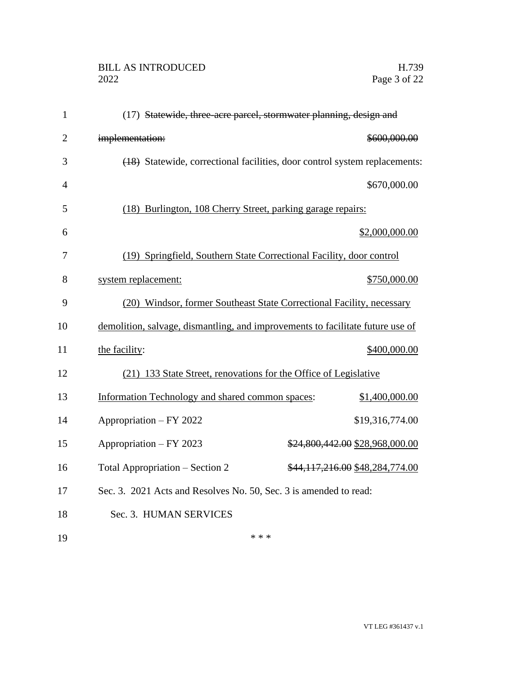## BILL AS INTRODUCED H.739<br>2022 Page 3 of 22

| $\mathbf{1}$   | (17) Statewide, three-acre parcel, stormwater planning, design and             |  |
|----------------|--------------------------------------------------------------------------------|--|
| $\overline{2}$ | implementation:<br>\$600,000.00                                                |  |
| 3              | (18) Statewide, correctional facilities, door control system replacements:     |  |
| $\overline{4}$ | \$670,000.00                                                                   |  |
| 5              | (18) Burlington, 108 Cherry Street, parking garage repairs:                    |  |
| 6              | \$2,000,000.00                                                                 |  |
| 7              | (19) Springfield, Southern State Correctional Facility, door control           |  |
| 8              | system replacement:<br>\$750,000.00                                            |  |
| 9              | (20) Windsor, former Southeast State Correctional Facility, necessary          |  |
| 10             | demolition, salvage, dismantling, and improvements to facilitate future use of |  |
| 11             | \$400,000.00<br>the facility:                                                  |  |
| 12             | (21) 133 State Street, renovations for the Office of Legislative               |  |
| 13             | Information Technology and shared common spaces:<br>\$1,400,000.00             |  |
| 14             | Appropriation - FY 2022<br>\$19,316,774.00                                     |  |
| 15             | Appropriation - FY 2023<br>\$24,800,442.00 \$28,968,000.00                     |  |
| 16             | Total Appropriation – Section 2<br>\$44,117,216.00 \$48,284,774.00             |  |
| 17             | Sec. 3. 2021 Acts and Resolves No. 50, Sec. 3 is amended to read:              |  |
| 18             | Sec. 3. HUMAN SERVICES                                                         |  |
| 19             | * * *                                                                          |  |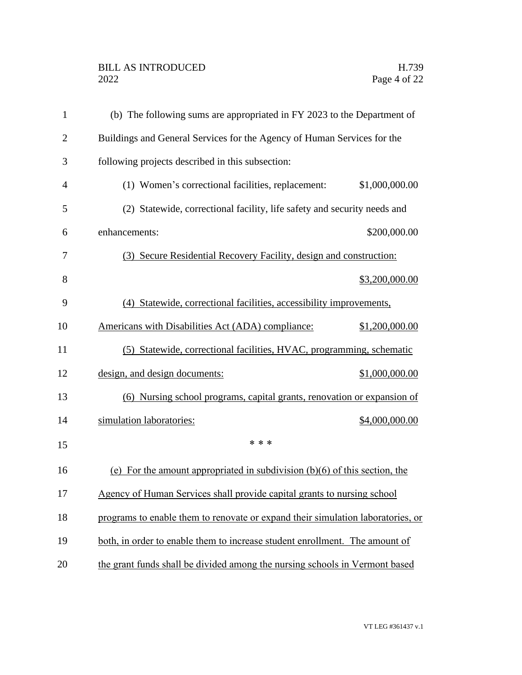## BILL AS INTRODUCED H.739<br>2022 Page 4 of 22

| $\mathbf{1}$   | (b) The following sums are appropriated in FY 2023 to the Department of         |                |
|----------------|---------------------------------------------------------------------------------|----------------|
| $\overline{2}$ | Buildings and General Services for the Agency of Human Services for the         |                |
| 3              | following projects described in this subsection:                                |                |
| $\overline{4}$ | (1) Women's correctional facilities, replacement:                               | \$1,000,000.00 |
| 5              | (2) Statewide, correctional facility, life safety and security needs and        |                |
| 6              | enhancements:                                                                   | \$200,000.00   |
| 7              | (3) Secure Residential Recovery Facility, design and construction:              |                |
| 8              |                                                                                 | \$3,200,000.00 |
| 9              | (4) Statewide, correctional facilities, accessibility improvements,             |                |
| 10             | Americans with Disabilities Act (ADA) compliance:                               | \$1,200,000.00 |
| 11             | (5) Statewide, correctional facilities, HVAC, programming, schematic            |                |
| 12             | design, and design documents:                                                   | \$1,000,000.00 |
| 13             | (6) Nursing school programs, capital grants, renovation or expansion of         |                |
| 14             | simulation laboratories:                                                        | \$4,000,000.00 |
| 15             | * * *                                                                           |                |
| 16             | (e) For the amount appropriated in subdivision $(b)(6)$ of this section, the    |                |
| 17             | Agency of Human Services shall provide capital grants to nursing school         |                |
| 18             | programs to enable them to renovate or expand their simulation laboratories, or |                |
| 19             | both, in order to enable them to increase student enrollment. The amount of     |                |
| 20             | the grant funds shall be divided among the nursing schools in Vermont based     |                |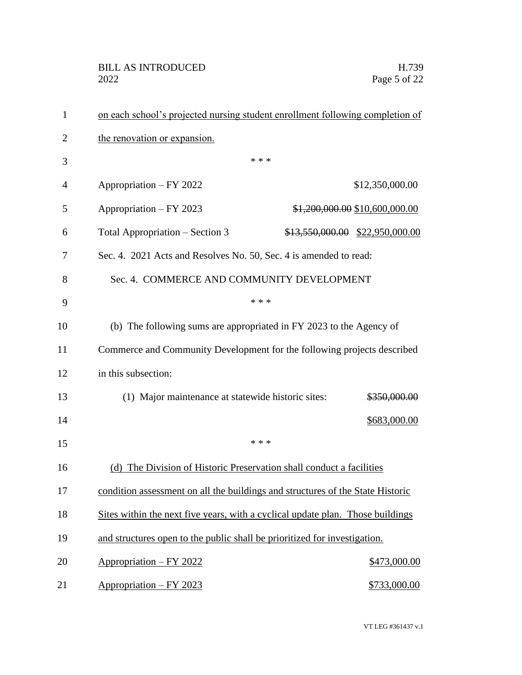| $\mathbf{1}$   | on each school's projected nursing student enrollment following completion of  |       |                                 |
|----------------|--------------------------------------------------------------------------------|-------|---------------------------------|
| $\overline{2}$ | the renovation or expansion.                                                   |       |                                 |
| 3              |                                                                                | * * * |                                 |
| 4              | Appropriation - FY 2022                                                        |       | \$12,350,000.00                 |
| 5              | Appropriation – FY 2023                                                        |       | \$1,200,000.00 \$10,600,000.00  |
| 6              | Total Appropriation – Section 3                                                |       | \$13,550,000.00 \$22,950,000.00 |
| 7              | Sec. 4. 2021 Acts and Resolves No. 50, Sec. 4 is amended to read:              |       |                                 |
| 8              | Sec. 4. COMMERCE AND COMMUNITY DEVELOPMENT                                     |       |                                 |
| 9              |                                                                                | * * * |                                 |
| 10             | (b) The following sums are appropriated in FY 2023 to the Agency of            |       |                                 |
| 11             | Commerce and Community Development for the following projects described        |       |                                 |
| 12             | in this subsection:                                                            |       |                                 |
| 13             | (1) Major maintenance at statewide historic sites:                             |       | \$350,000.00                    |
| 14             |                                                                                |       | \$683,000.00                    |
| 15             |                                                                                | * * * |                                 |
| 16             | (d) The Division of Historic Preservation shall conduct a facilities           |       |                                 |
| 17             | condition assessment on all the buildings and structures of the State Historic |       |                                 |
| 18             | Sites within the next five years, with a cyclical update plan. Those buildings |       |                                 |
| 19             | and structures open to the public shall be prioritized for investigation.      |       |                                 |
| 20             | Appropriation - FY 2022                                                        |       | \$473,000.00                    |
| 21             | Appropriation - FY 2023                                                        |       | \$733,000.00                    |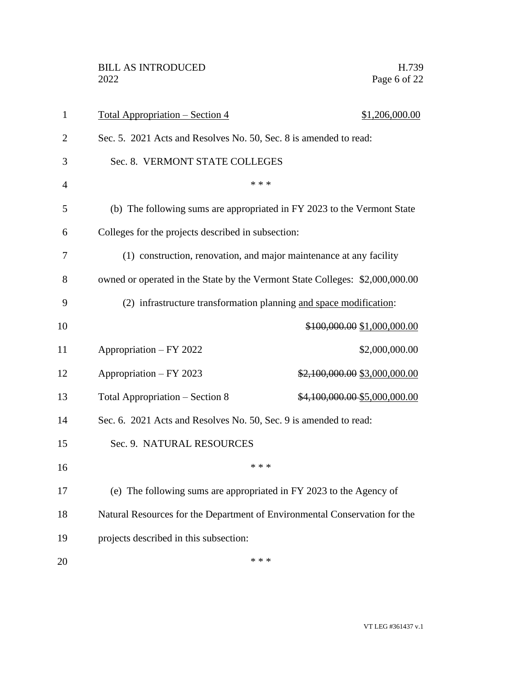| 1              | <u> Total Appropriation – Section 4</u>                                      | \$1,206,000.00                |
|----------------|------------------------------------------------------------------------------|-------------------------------|
| $\overline{2}$ | Sec. 5. 2021 Acts and Resolves No. 50, Sec. 8 is amended to read:            |                               |
| 3              | Sec. 8. VERMONT STATE COLLEGES                                               |                               |
| 4              | * * *                                                                        |                               |
| 5              | (b) The following sums are appropriated in FY 2023 to the Vermont State      |                               |
| 6              | Colleges for the projects described in subsection:                           |                               |
| 7              | (1) construction, renovation, and major maintenance at any facility          |                               |
| 8              | owned or operated in the State by the Vermont State Colleges: \$2,000,000.00 |                               |
| 9              | (2) infrastructure transformation planning and space modification:           |                               |
| 10             |                                                                              | \$100,000.00 \$1,000,000.00   |
| 11             | Appropriation – FY 2022                                                      | \$2,000,000.00                |
| 12             | Appropriation - FY 2023                                                      | \$2,100,000.00 \$3,000,000.00 |
| 13             | Total Appropriation - Section 8                                              | \$4,100,000.00 \$5,000,000.00 |
| 14             | Sec. 6. 2021 Acts and Resolves No. 50, Sec. 9 is amended to read:            |                               |
| 15             | Sec. 9. NATURAL RESOURCES                                                    |                               |
| 16             | * * *                                                                        |                               |
| 17             | (e) The following sums are appropriated in FY 2023 to the Agency of          |                               |
| 18             | Natural Resources for the Department of Environmental Conservation for the   |                               |
| 19             | projects described in this subsection:                                       |                               |
| 20             | * * *                                                                        |                               |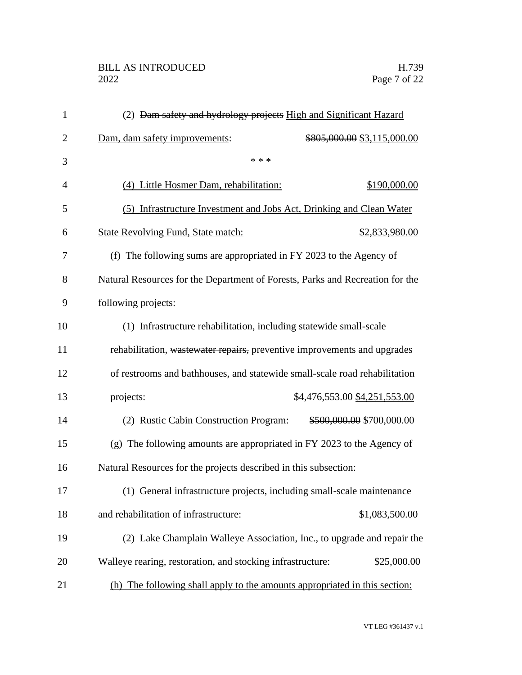## BILL AS INTRODUCED H.739<br>2022 Page 7 of 22

| $\mathbf{1}$   | (2) <del>Dam safety and hydrology projects</del> High and Significant Hazard  |
|----------------|-------------------------------------------------------------------------------|
| $\overline{2}$ | Dam, dam safety improvements:<br>\$805,000.00 \$3,115,000.00                  |
| 3              | * * *                                                                         |
| $\overline{4}$ | (4) Little Hosmer Dam, rehabilitation:<br>\$190,000.00                        |
| 5              | (5) Infrastructure Investment and Jobs Act, Drinking and Clean Water          |
| 6              | <b>State Revolving Fund, State match:</b><br>\$2,833,980.00                   |
| 7              | (f) The following sums are appropriated in FY 2023 to the Agency of           |
| 8              | Natural Resources for the Department of Forests, Parks and Recreation for the |
| 9              | following projects:                                                           |
| 10             | (1) Infrastructure rehabilitation, including statewide small-scale            |
| 11             | rehabilitation, wastewater repairs, preventive improvements and upgrades      |
| 12             | of restrooms and bathhouses, and statewide small-scale road rehabilitation    |
| 13             | \$4,476,553.00 \$4,251,553.00<br>projects:                                    |
| 14             | (2) Rustic Cabin Construction Program:<br>\$500,000.00 \$700,000.00           |
| 15             | (g) The following amounts are appropriated in FY 2023 to the Agency of        |
| 16             | Natural Resources for the projects described in this subsection:              |
| 17             | (1) General infrastructure projects, including small-scale maintenance        |
| 18             | \$1,083,500.00<br>and rehabilitation of infrastructure:                       |
| 19             | (2) Lake Champlain Walleye Association, Inc., to upgrade and repair the       |
| 20             | \$25,000.00<br>Walleye rearing, restoration, and stocking infrastructure:     |
| 21             | (h) The following shall apply to the amounts appropriated in this section:    |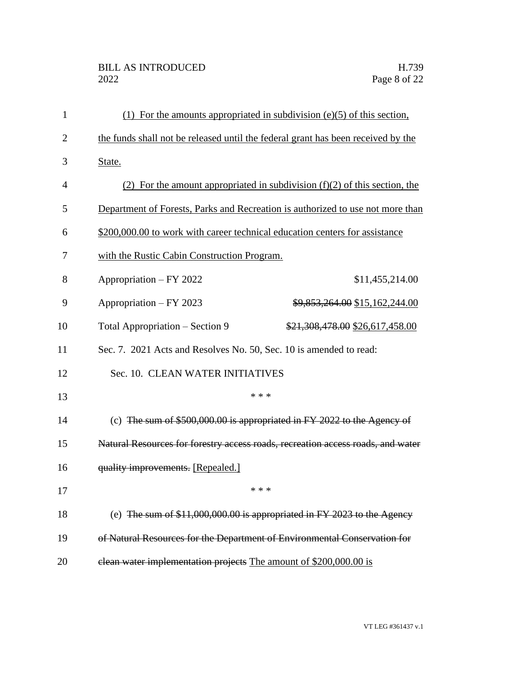## BILL AS INTRODUCED H.739<br>2022 Page 8 of 22

| 1              |                                                                                  | (1) For the amounts appropriated in subdivision $(e)(5)$ of this section,    |
|----------------|----------------------------------------------------------------------------------|------------------------------------------------------------------------------|
| $\overline{2}$ | the funds shall not be released until the federal grant has been received by the |                                                                              |
| 3              | State.                                                                           |                                                                              |
| 4              |                                                                                  | (2) For the amount appropriated in subdivision $(f)(2)$ of this section, the |
| 5              | Department of Forests, Parks and Recreation is authorized to use not more than   |                                                                              |
| 6              | \$200,000.00 to work with career technical education centers for assistance      |                                                                              |
| 7              | with the Rustic Cabin Construction Program.                                      |                                                                              |
| 8              | Appropriation – FY 2022                                                          | \$11,455,214.00                                                              |
| 9              | Appropriation – FY 2023                                                          | \$9,853,264.00 \$15,162,244.00                                               |
| 10             | Total Appropriation – Section 9                                                  | \$21,308,478.00 \$26,617,458.00                                              |
| 11             | Sec. 7. 2021 Acts and Resolves No. 50, Sec. 10 is amended to read:               |                                                                              |
| 12             | Sec. 10. CLEAN WATER INITIATIVES                                                 |                                                                              |
| 13             | * * *                                                                            |                                                                              |
| 14             | (c) The sum of $$500,000.00$ is appropriated in FY 2022 to the Agency of         |                                                                              |
| 15             | Natural Resources for forestry access roads, recreation access roads, and water  |                                                                              |
| 16             | quality improvements. [Repealed.]                                                |                                                                              |
| 17             | * * *                                                                            |                                                                              |
| 18             |                                                                                  | (e) The sum of $$11,000,000.00$ is appropriated in FY 2023 to the Agency     |
| 19             | of Natural Resources for the Department of Environmental Conservation for        |                                                                              |
| 20             | elean water implementation projects The amount of \$200,000.00 is                |                                                                              |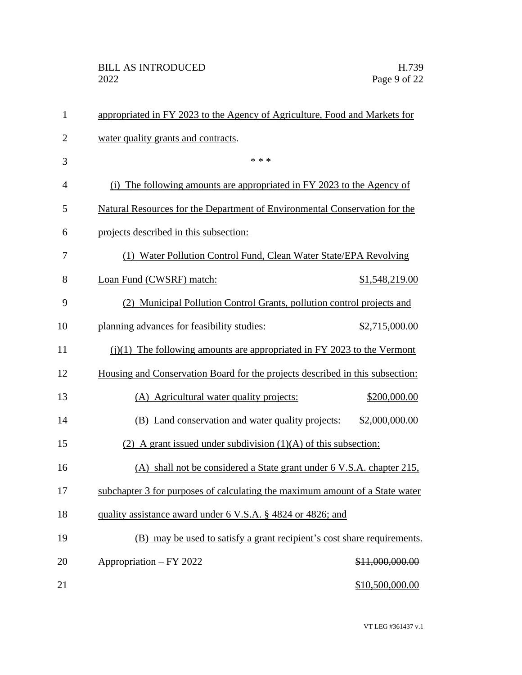| $\mathbf{1}$   | appropriated in FY 2023 to the Agency of Agriculture, Food and Markets for    |                 |
|----------------|-------------------------------------------------------------------------------|-----------------|
| $\overline{2}$ | water quality grants and contracts.                                           |                 |
| 3              | * * *                                                                         |                 |
| $\overline{4}$ | (i) The following amounts are appropriated in FY 2023 to the Agency of        |                 |
| 5              | Natural Resources for the Department of Environmental Conservation for the    |                 |
| 6              | projects described in this subsection:                                        |                 |
| 7              | (1) Water Pollution Control Fund, Clean Water State/EPA Revolving             |                 |
| 8              | Loan Fund (CWSRF) match:                                                      | \$1,548,219.00  |
| 9              | (2) Municipal Pollution Control Grants, pollution control projects and        |                 |
| 10             | planning advances for feasibility studies:                                    | \$2,715,000.00  |
| 11             | $(i)(1)$ The following amounts are appropriated in FY 2023 to the Vermont     |                 |
| 12             | Housing and Conservation Board for the projects described in this subsection: |                 |
| 13             | (A) Agricultural water quality projects:                                      | \$200,000.00    |
| 14             | (B) Land conservation and water quality projects:                             | \$2,000,000.00  |
| 15             | (2) A grant issued under subdivision $(1)(A)$ of this subsection:             |                 |
| 16             | (A) shall not be considered a State grant under 6 V.S.A. chapter 215,         |                 |
| 17             | subchapter 3 for purposes of calculating the maximum amount of a State water  |                 |
| 18             | quality assistance award under 6 V.S.A. § 4824 or 4826; and                   |                 |
| 19             | (B) may be used to satisfy a grant recipient's cost share requirements.       |                 |
| 20             | Appropriation – FY 2022                                                       | \$11,000,000.00 |
| 21             |                                                                               | \$10,500,000.00 |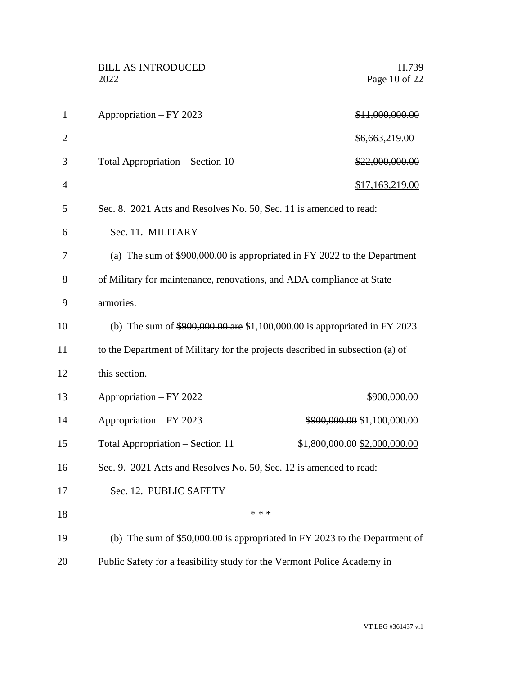|                | <b>BILL AS INTRODUCED</b><br>2022                                             | H.739<br>Page 10 of 22        |
|----------------|-------------------------------------------------------------------------------|-------------------------------|
| $\mathbf{1}$   | Appropriation - FY 2023                                                       | \$11,000,000.00               |
| $\overline{2}$ |                                                                               | \$6,663,219.00                |
| 3              | Total Appropriation - Section 10                                              | \$22,000,000.00               |
| 4              |                                                                               | \$17,163,219.00               |
| 5              | Sec. 8. 2021 Acts and Resolves No. 50, Sec. 11 is amended to read:            |                               |
| 6              | Sec. 11. MILITARY                                                             |                               |
| 7              | (a) The sum of \$900,000.00 is appropriated in FY 2022 to the Department      |                               |
| 8              | of Military for maintenance, renovations, and ADA compliance at State         |                               |
| 9              | armories.                                                                     |                               |
| 10             | (b) The sum of \$900,000.00 are \$1,100,000.00 is appropriated in FY 2023     |                               |
| 11             | to the Department of Military for the projects described in subsection (a) of |                               |
| 12             | this section.                                                                 |                               |
| 13             | Appropriation – FY 2022                                                       | \$900,000.00                  |
| 14             | Appropriation - FY 2023                                                       | \$900,000.00 \$1,100,000.00   |
| 15             | Total Appropriation - Section 11                                              | \$1,800,000.00 \$2,000,000.00 |
| 16             | Sec. 9. 2021 Acts and Resolves No. 50, Sec. 12 is amended to read:            |                               |
| 17             | Sec. 12. PUBLIC SAFETY                                                        |                               |
| 18             | * * *                                                                         |                               |
| 19             | (b) The sum of $$50,000.00$ is appropriated in FY 2023 to the Department of   |                               |
| 20             | Public Safety for a feasibility study for the Vermont Police Academy in       |                               |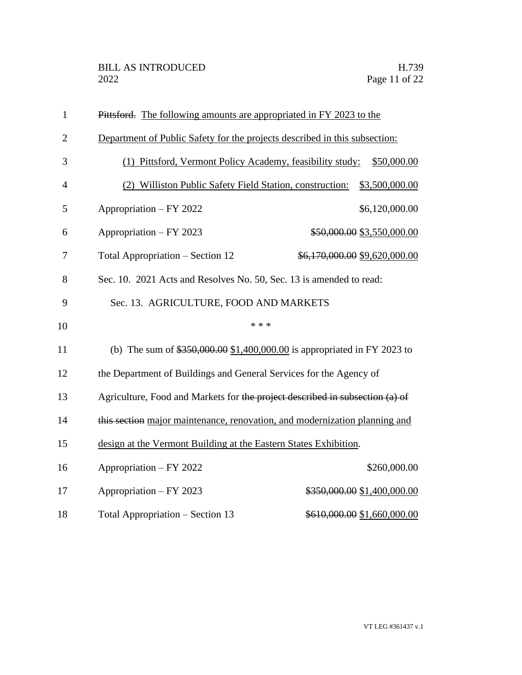| $\mathbf{1}$   | Pittsford. The following amounts are appropriated in FY 2023 to the          |
|----------------|------------------------------------------------------------------------------|
| $\overline{2}$ | Department of Public Safety for the projects described in this subsection:   |
| 3              | Pittsford, Vermont Policy Academy, feasibility study:<br>\$50,000.00<br>(1)  |
| $\overline{4}$ | (2) Williston Public Safety Field Station, construction:<br>\$3,500,000.00   |
| 5              | Appropriation - FY 2022<br>\$6,120,000.00                                    |
| 6              | Appropriation - FY 2023<br>\$50,000.00 \$3,550,000.00                        |
| 7              | Total Appropriation – Section 12<br>\$6,170,000.00 \$9,620,000.00            |
| 8              | Sec. 10. 2021 Acts and Resolves No. 50, Sec. 13 is amended to read:          |
| 9              | Sec. 13. AGRICULTURE, FOOD AND MARKETS                                       |
| 10             | * * *                                                                        |
| 11             | (b) The sum of $$350,000.00 $1,400,000.00$ is appropriated in FY 2023 to     |
| 12             | the Department of Buildings and General Services for the Agency of           |
| 13             | Agriculture, Food and Markets for the project described in subsection (a) of |
| 14             | this section major maintenance, renovation, and modernization planning and   |
| 15             | design at the Vermont Building at the Eastern States Exhibition.             |
|                |                                                                              |
| 16             | Appropriation - FY 2022<br>\$260,000.00                                      |
| 17             | Appropriation - FY 2023<br>\$350,000.00 \$1,400,000.00                       |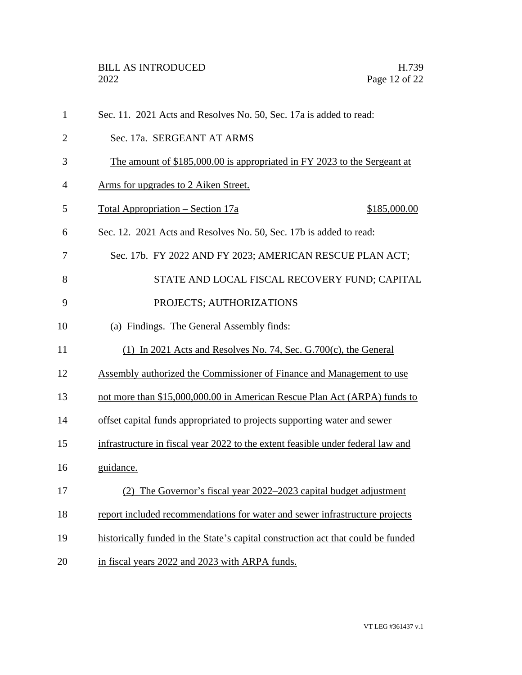| $\mathbf{1}$   | Sec. 11. 2021 Acts and Resolves No. 50, Sec. 17a is added to read:               |
|----------------|----------------------------------------------------------------------------------|
| $\overline{2}$ | Sec. 17a. SERGEANT AT ARMS                                                       |
| 3              | The amount of \$185,000.00 is appropriated in FY 2023 to the Sergeant at         |
| 4              | <u>Arms for upgrades to 2 Aiken Street.</u>                                      |
| 5              | <u> Total Appropriation – Section 17a</u><br>\$185,000.00                        |
| 6              | Sec. 12. 2021 Acts and Resolves No. 50, Sec. 17b is added to read:               |
| 7              | Sec. 17b. FY 2022 AND FY 2023; AMERICAN RESCUE PLAN ACT;                         |
| 8              | STATE AND LOCAL FISCAL RECOVERY FUND; CAPITAL                                    |
| 9              | PROJECTS; AUTHORIZATIONS                                                         |
| 10             | (a) Findings. The General Assembly finds:                                        |
| 11             | (1) In 2021 Acts and Resolves No. 74, Sec. G.700 $(c)$ , the General             |
| 12             | Assembly authorized the Commissioner of Finance and Management to use            |
| 13             | not more than \$15,000,000.00 in American Rescue Plan Act (ARPA) funds to        |
| 14             | offset capital funds appropriated to projects supporting water and sewer         |
| 15             | infrastructure in fiscal year 2022 to the extent feasible under federal law and  |
| 16             | guidance.                                                                        |
| 17             | (2) The Governor's fiscal year 2022–2023 capital budget adjustment               |
| 18             | report included recommendations for water and sewer infrastructure projects      |
| 19             | historically funded in the State's capital construction act that could be funded |
| 20             | in fiscal years 2022 and 2023 with ARPA funds.                                   |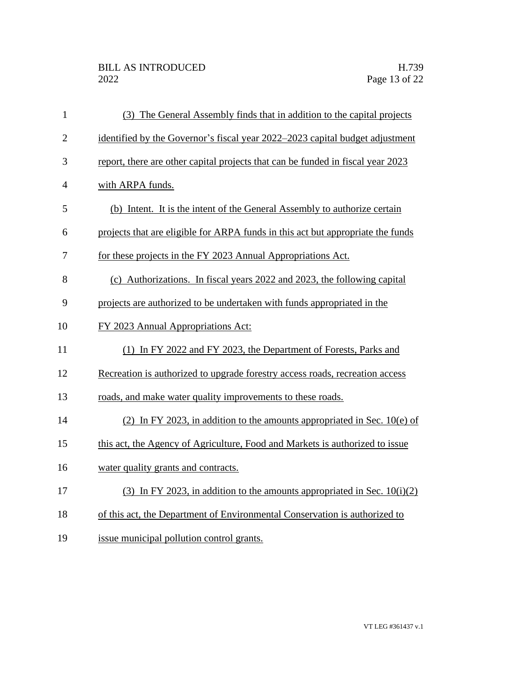| $\mathbf{1}$   | (3) The General Assembly finds that in addition to the capital projects         |
|----------------|---------------------------------------------------------------------------------|
| $\overline{2}$ | identified by the Governor's fiscal year 2022–2023 capital budget adjustment    |
| 3              | report, there are other capital projects that can be funded in fiscal year 2023 |
| $\overline{4}$ | with ARPA funds.                                                                |
| 5              | (b) Intent. It is the intent of the General Assembly to authorize certain       |
| 6              | projects that are eligible for ARPA funds in this act but appropriate the funds |
| 7              | for these projects in the FY 2023 Annual Appropriations Act.                    |
| 8              | (c) Authorizations. In fiscal years 2022 and 2023, the following capital        |
| 9              | projects are authorized to be undertaken with funds appropriated in the         |
| 10             | FY 2023 Annual Appropriations Act:                                              |
| 11             | (1) In FY 2022 and FY 2023, the Department of Forests, Parks and                |
| 12             | Recreation is authorized to upgrade forestry access roads, recreation access    |
| 13             | roads, and make water quality improvements to these roads.                      |
| 14             | (2) In FY 2023, in addition to the amounts appropriated in Sec. $10(e)$ of      |
| 15             | this act, the Agency of Agriculture, Food and Markets is authorized to issue    |
| 16             | water quality grants and contracts.                                             |
| 17             | (3) In FY 2023, in addition to the amounts appropriated in Sec. $10(i)(2)$      |
| 18             | of this act, the Department of Environmental Conservation is authorized to      |
| 19             | issue municipal pollution control grants.                                       |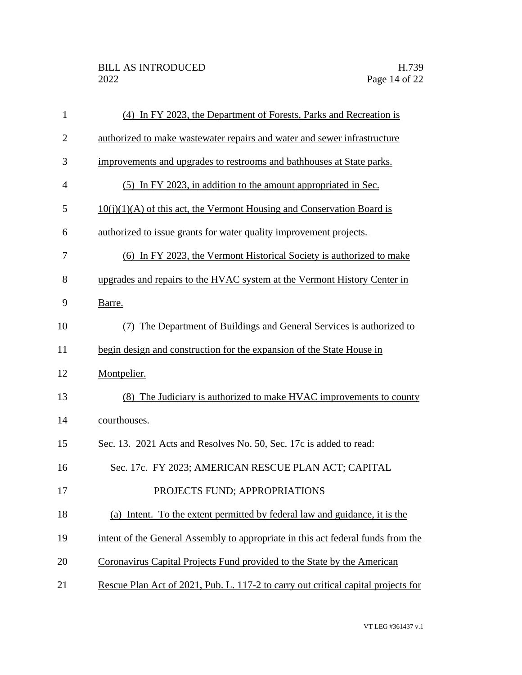| 1              | (4) In FY 2023, the Department of Forests, Parks and Recreation is                |
|----------------|-----------------------------------------------------------------------------------|
| $\overline{2}$ | authorized to make wastewater repairs and water and sewer infrastructure          |
| 3              | improvements and upgrades to restrooms and bathhouses at State parks.             |
| $\overline{4}$ | (5) In FY 2023, in addition to the amount appropriated in Sec.                    |
| 5              | $10(j)(1)(A)$ of this act, the Vermont Housing and Conservation Board is          |
| 6              | authorized to issue grants for water quality improvement projects.                |
| 7              | (6) In FY 2023, the Vermont Historical Society is authorized to make              |
| 8              | upgrades and repairs to the HVAC system at the Vermont History Center in          |
| 9              | Barre.                                                                            |
| 10             | The Department of Buildings and General Services is authorized to                 |
| 11             | begin design and construction for the expansion of the State House in             |
| 12             | Montpelier.                                                                       |
| 13             | (8) The Judiciary is authorized to make HVAC improvements to county               |
| 14             | courthouses.                                                                      |
| 15             | Sec. 13. 2021 Acts and Resolves No. 50, Sec. 17c is added to read:                |
| 16             | Sec. 17c. FY 2023; AMERICAN RESCUE PLAN ACT; CAPITAL                              |
| 17             | PROJECTS FUND; APPROPRIATIONS                                                     |
| 18             | (a) Intent. To the extent permitted by federal law and guidance, it is the        |
| 19             | intent of the General Assembly to appropriate in this act federal funds from the  |
| 20             | Coronavirus Capital Projects Fund provided to the State by the American           |
| 21             | Rescue Plan Act of 2021, Pub. L. 117-2 to carry out critical capital projects for |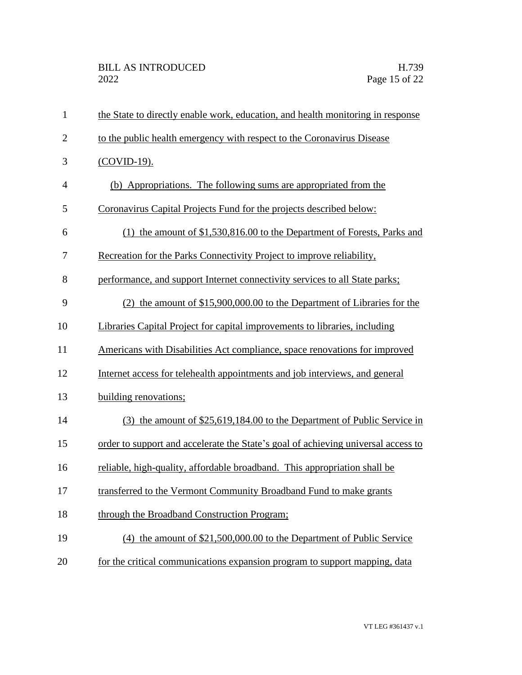| $\mathbf{1}$   | the State to directly enable work, education, and health monitoring in response   |
|----------------|-----------------------------------------------------------------------------------|
| $\overline{2}$ | to the public health emergency with respect to the Coronavirus Disease            |
| 3              | (COVID-19).                                                                       |
| $\overline{4}$ | (b) Appropriations. The following sums are appropriated from the                  |
| 5              | Coronavirus Capital Projects Fund for the projects described below:               |
| 6              | (1) the amount of \$1,530,816.00 to the Department of Forests, Parks and          |
| 7              | Recreation for the Parks Connectivity Project to improve reliability,             |
| 8              | performance, and support Internet connectivity services to all State parks;       |
| 9              | $(2)$ the amount of \$15,900,000.00 to the Department of Libraries for the        |
| 10             | Libraries Capital Project for capital improvements to libraries, including        |
| 11             | Americans with Disabilities Act compliance, space renovations for improved        |
| 12             | Internet access for telehealth appointments and job interviews, and general       |
| 13             | building renovations;                                                             |
| 14             | (3) the amount of \$25,619,184.00 to the Department of Public Service in          |
| 15             | order to support and accelerate the State's goal of achieving universal access to |
| 16             | reliable, high-quality, affordable broadband. This appropriation shall be         |
| 17             | transferred to the Vermont Community Broadband Fund to make grants                |
| 18             | through the Broadband Construction Program;                                       |
| 19             | (4) the amount of \$21,500,000.00 to the Department of Public Service             |
| 20             | for the critical communications expansion program to support mapping, data        |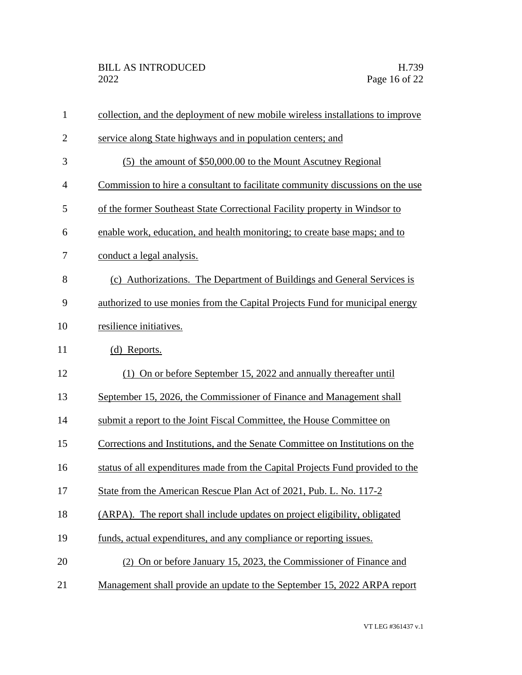| $\mathbf{1}$   | collection, and the deployment of new mobile wireless installations to improve |  |
|----------------|--------------------------------------------------------------------------------|--|
| $\overline{2}$ | service along State highways and in population centers; and                    |  |
| 3              | (5) the amount of \$50,000.00 to the Mount Ascutney Regional                   |  |
| $\overline{4}$ | Commission to hire a consultant to facilitate community discussions on the use |  |
| 5              | of the former Southeast State Correctional Facility property in Windsor to     |  |
| 6              | enable work, education, and health monitoring; to create base maps; and to     |  |
| 7              | conduct a legal analysis.                                                      |  |
| 8              | (c) Authorizations. The Department of Buildings and General Services is        |  |
| 9              | authorized to use monies from the Capital Projects Fund for municipal energy   |  |
| 10             | resilience initiatives.                                                        |  |
| 11             | (d) Reports.                                                                   |  |
| 12             | (1) On or before September 15, 2022 and annually thereafter until              |  |
| 13             | September 15, 2026, the Commissioner of Finance and Management shall           |  |
| 14             | submit a report to the Joint Fiscal Committee, the House Committee on          |  |
| 15             | Corrections and Institutions, and the Senate Committee on Institutions on the  |  |
| 16             | status of all expenditures made from the Capital Projects Fund provided to the |  |
| 17             | State from the American Rescue Plan Act of 2021, Pub. L. No. 117-2             |  |
| 18             | (ARPA). The report shall include updates on project eligibility, obligated     |  |
| 19             | funds, actual expenditures, and any compliance or reporting issues.            |  |
| 20             | (2) On or before January 15, 2023, the Commissioner of Finance and             |  |
| 21             | Management shall provide an update to the September 15, 2022 ARPA report       |  |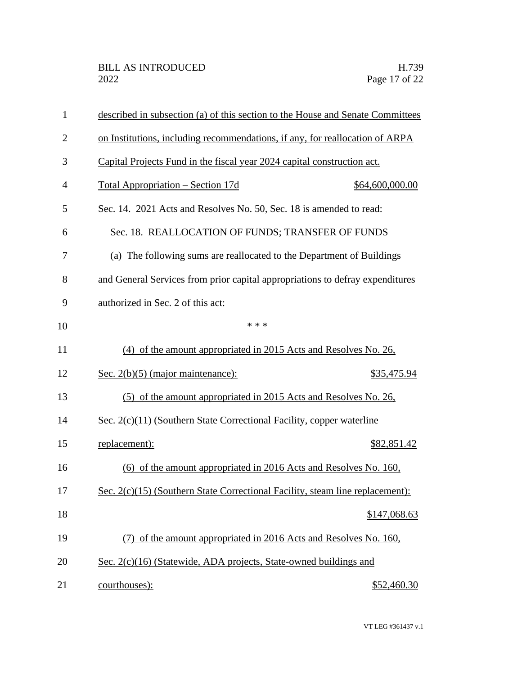| $\mathbf{1}$   | described in subsection (a) of this section to the House and Senate Committees |                 |
|----------------|--------------------------------------------------------------------------------|-----------------|
| $\overline{2}$ | on Institutions, including recommendations, if any, for reallocation of ARPA   |                 |
| 3              | Capital Projects Fund in the fiscal year 2024 capital construction act.        |                 |
| $\overline{4}$ | <u> Total Appropriation – Section 17d</u>                                      | \$64,600,000.00 |
| 5              | Sec. 14. 2021 Acts and Resolves No. 50, Sec. 18 is amended to read:            |                 |
| 6              | Sec. 18. REALLOCATION OF FUNDS; TRANSFER OF FUNDS                              |                 |
| 7              | (a) The following sums are reallocated to the Department of Buildings          |                 |
| 8              | and General Services from prior capital appropriations to defray expenditures  |                 |
| 9              | authorized in Sec. 2 of this act:                                              |                 |
| 10             | * * *                                                                          |                 |
| 11             | (4) of the amount appropriated in 2015 Acts and Resolves No. 26,               |                 |
| 12             | Sec. $2(b)(5)$ (major maintenance):                                            | \$35,475.94     |
| 13             | (5) of the amount appropriated in 2015 Acts and Resolves No. 26,               |                 |
| 14             | Sec. 2(c)(11) (Southern State Correctional Facility, copper waterline          |                 |
| 15             | replacement):                                                                  | \$82,851.42     |
| 16             | (6) of the amount appropriated in 2016 Acts and Resolves No. 160,              |                 |
| 17             | Sec. 2(c)(15) (Southern State Correctional Facility, steam line replacement):  |                 |
| 18             |                                                                                | \$147,068.63    |
| 19             | of the amount appropriated in 2016 Acts and Resolves No. 160,                  |                 |
| 20             | Sec. 2(c)(16) (Statewide, ADA projects, State-owned buildings and              |                 |
| 21             | courthouses):                                                                  | \$52,460.30     |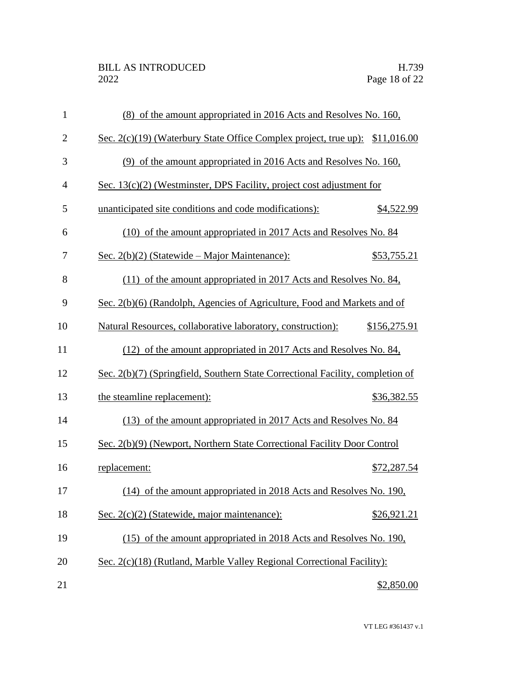| $\mathbf{1}$   | (8) of the amount appropriated in 2016 Acts and Resolves No. 160,              |              |
|----------------|--------------------------------------------------------------------------------|--------------|
| $\overline{2}$ | Sec. 2(c)(19) (Waterbury State Office Complex project, true up): \$11,016.00   |              |
| 3              | (9) of the amount appropriated in 2016 Acts and Resolves No. 160,              |              |
| 4              | Sec. 13(c)(2) (Westminster, DPS Facility, project cost adjustment for          |              |
| 5              | unanticipated site conditions and code modifications):                         | \$4,522.99   |
| 6              | (10) of the amount appropriated in 2017 Acts and Resolves No. 84               |              |
| 7              | Sec. $2(b)(2)$ (Statewide – Major Maintenance):                                | \$53,755.21  |
| 8              | (11) of the amount appropriated in 2017 Acts and Resolves No. 84,              |              |
| 9              | Sec. 2(b)(6) (Randolph, Agencies of Agriculture, Food and Markets and of       |              |
| 10             | Natural Resources, collaborative laboratory, construction):                    | \$156,275.91 |
| 11             | (12) of the amount appropriated in 2017 Acts and Resolves No. 84,              |              |
| 12             | Sec. 2(b)(7) (Springfield, Southern State Correctional Facility, completion of |              |
| 13             | the steamline replacement):                                                    | \$36,382.55  |
| 14             | (13) of the amount appropriated in 2017 Acts and Resolves No. 84               |              |
| 15             | Sec. 2(b)(9) (Newport, Northern State Correctional Facility Door Control       |              |
| 16             | replacement:                                                                   | \$72,287.54  |
| 17             | (14) of the amount appropriated in 2018 Acts and Resolves No. 190,             |              |
| 18             | Sec. 2(c)(2) (Statewide, major maintenance):                                   | \$26,921.21  |
| 19             | (15) of the amount appropriated in 2018 Acts and Resolves No. 190,             |              |
| 20             | Sec. 2(c)(18) (Rutland, Marble Valley Regional Correctional Facility):         |              |
| 21             |                                                                                | \$2,850.00   |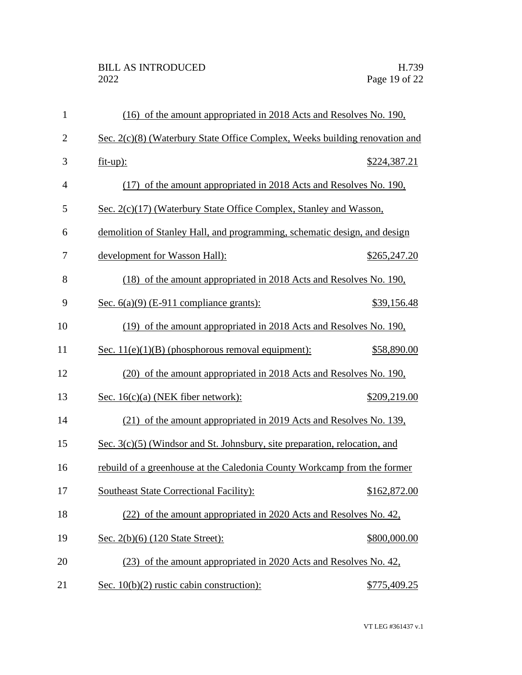| $\mathbf{1}$   | (16) of the amount appropriated in 2018 Acts and Resolves No. 190,           |
|----------------|------------------------------------------------------------------------------|
| $\overline{2}$ | Sec. 2(c)(8) (Waterbury State Office Complex, Weeks building renovation and  |
| 3              | $fit-up$ :<br>\$224,387.21                                                   |
| $\overline{4}$ | (17) of the amount appropriated in 2018 Acts and Resolves No. 190,           |
| 5              | Sec. 2(c)(17) (Waterbury State Office Complex, Stanley and Wasson,           |
| 6              | demolition of Stanley Hall, and programming, schematic design, and design    |
| 7              | development for Wasson Hall):<br>\$265,247.20                                |
| 8              | (18) of the amount appropriated in 2018 Acts and Resolves No. 190,           |
| 9              | <u>Sec. <math>6(a)(9)</math> (E-911 compliance grants):</u><br>\$39,156.48   |
| 10             | (19) of the amount appropriated in 2018 Acts and Resolves No. 190,           |
| 11             | Sec. $11(e)(1)(B)$ (phosphorous removal equipment):<br>\$58,890.00           |
| 12             | (20) of the amount appropriated in 2018 Acts and Resolves No. 190,           |
| 13             | Sec. $16(c)(a)$ (NEK fiber network):<br>\$209,219.00                         |
| 14             | (21) of the amount appropriated in 2019 Acts and Resolves No. 139,           |
| 15             | Sec. $3(c)(5)$ (Windsor and St. Johnsbury, site preparation, relocation, and |
| 16             | rebuild of a greenhouse at the Caledonia County Workcamp from the former     |
| 17             | <b>Southeast State Correctional Facility):</b><br>\$162,872.00               |
| 18             | (22) of the amount appropriated in 2020 Acts and Resolves No. 42,            |
| 19             | Sec. 2(b)(6) (120 State Street):<br>\$800,000.00                             |
| 20             | (23) of the amount appropriated in 2020 Acts and Resolves No. 42,            |
| 21             | Sec. $10(b)(2)$ rustic cabin construction):<br>\$775,409.25                  |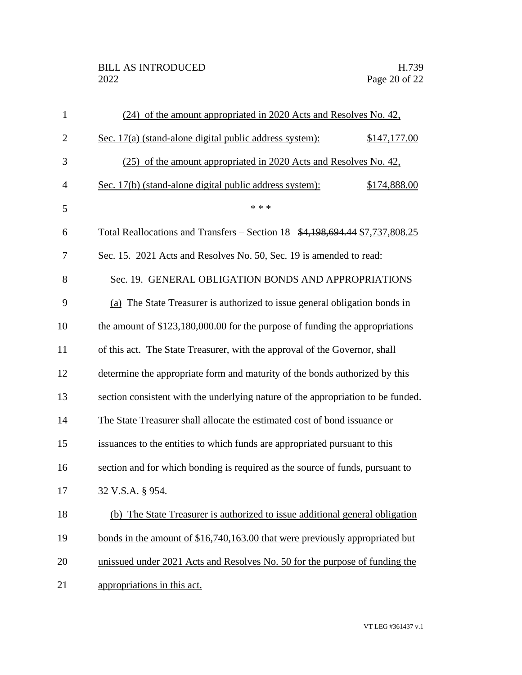| $\mathbf{1}$   | (24) of the amount appropriated in 2020 Acts and Resolves No. 42.                |              |
|----------------|----------------------------------------------------------------------------------|--------------|
| $\overline{2}$ | Sec. 17(a) (stand-alone digital public address system):                          | \$147,177.00 |
| 3              | (25) of the amount appropriated in 2020 Acts and Resolves No. 42,                |              |
| $\overline{4}$ | Sec. 17(b) (stand-alone digital public address system):                          | \$174,888.00 |
| 5              | * * *                                                                            |              |
| 6              | Total Reallocations and Transfers – Section 18 \$4,198,694.44 \$7,737,808.25     |              |
| 7              | Sec. 15. 2021 Acts and Resolves No. 50, Sec. 19 is amended to read:              |              |
| 8              | Sec. 19. GENERAL OBLIGATION BONDS AND APPROPRIATIONS                             |              |
| 9              | (a) The State Treasurer is authorized to issue general obligation bonds in       |              |
| 10             | the amount of \$123,180,000.00 for the purpose of funding the appropriations     |              |
| 11             | of this act. The State Treasurer, with the approval of the Governor, shall       |              |
| 12             | determine the appropriate form and maturity of the bonds authorized by this      |              |
| 13             | section consistent with the underlying nature of the appropriation to be funded. |              |
| 14             | The State Treasurer shall allocate the estimated cost of bond issuance or        |              |
| 15             | issuances to the entities to which funds are appropriated pursuant to this       |              |
| 16             | section and for which bonding is required as the source of funds, pursuant to    |              |
| 17             | 32 V.S.A. § 954.                                                                 |              |
| 18             | The State Treasurer is authorized to issue additional general obligation<br>(b)  |              |
| 19             | bonds in the amount of \$16,740,163.00 that were previously appropriated but     |              |
| 20             | unissued under 2021 Acts and Resolves No. 50 for the purpose of funding the      |              |
| 21             | appropriations in this act.                                                      |              |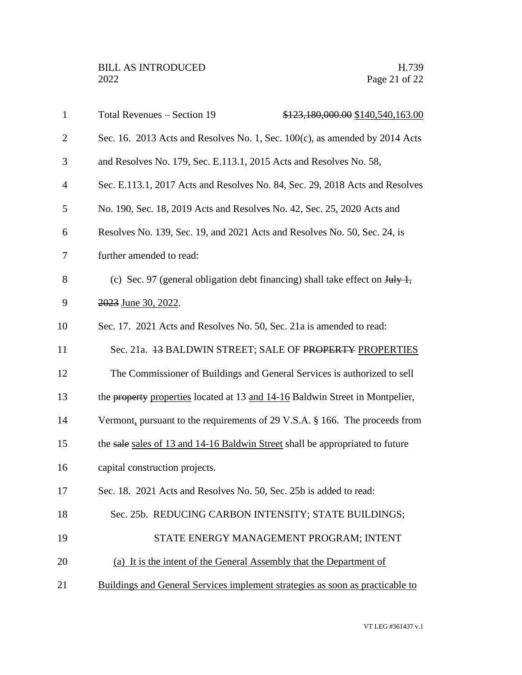| $\mathbf{1}$   | Total Revenues - Section 19                                                                          | \$123,180,000.00 \$140,540,163.00       |
|----------------|------------------------------------------------------------------------------------------------------|-----------------------------------------|
| $\overline{2}$ | Sec. 16. 2013 Acts and Resolves No. 1, Sec. $100(c)$ , as amended by 2014 Acts                       |                                         |
| 3              | and Resolves No. 179, Sec. E.113.1, 2015 Acts and Resolves No. 58,                                   |                                         |
| $\overline{4}$ | Sec. E.113.1, 2017 Acts and Resolves No. 84, Sec. 29, 2018 Acts and Resolves                         |                                         |
| 5              | No. 190, Sec. 18, 2019 Acts and Resolves No. 42, Sec. 25, 2020 Acts and                              |                                         |
| 6              | Resolves No. 139, Sec. 19, and 2021 Acts and Resolves No. 50, Sec. 24, is                            |                                         |
| 7              | further amended to read:                                                                             |                                         |
| 8              | (c) Sec. 97 (general obligation debt financing) shall take effect on $\frac{\text{H}_1}{\text{H}_2}$ |                                         |
| 9              | 2023 June 30, 2022.                                                                                  |                                         |
| 10             | Sec. 17. 2021 Acts and Resolves No. 50, Sec. 21a is amended to read:                                 |                                         |
| 11             | Sec. 21a. 43 BALDWIN STREET; SALE OF PROPERTY PROPERTIES                                             |                                         |
| 12             | The Commissioner of Buildings and General Services is authorized to sell                             |                                         |
| 13             | the property properties located at 13 and 14-16 Baldwin Street in Montpelier,                        |                                         |
| 14             | Vermont, pursuant to the requirements of 29 V.S.A. § 166. The proceeds from                          |                                         |
| 15             | the sale sales of 13 and 14-16 Baldwin Street shall be appropriated to future                        |                                         |
| 16             | capital construction projects.                                                                       |                                         |
| 17             | Sec. 18. 2021 Acts and Resolves No. 50, Sec. 25b is added to read:                                   |                                         |
| 18             | Sec. 25b. REDUCING CARBON INTENSITY; STATE BUILDINGS;                                                |                                         |
| 19             |                                                                                                      | STATE ENERGY MANAGEMENT PROGRAM; INTENT |
| 20             | (a) It is the intent of the General Assembly that the Department of                                  |                                         |
| 21             | Buildings and General Services implement strategies as soon as practicable to                        |                                         |